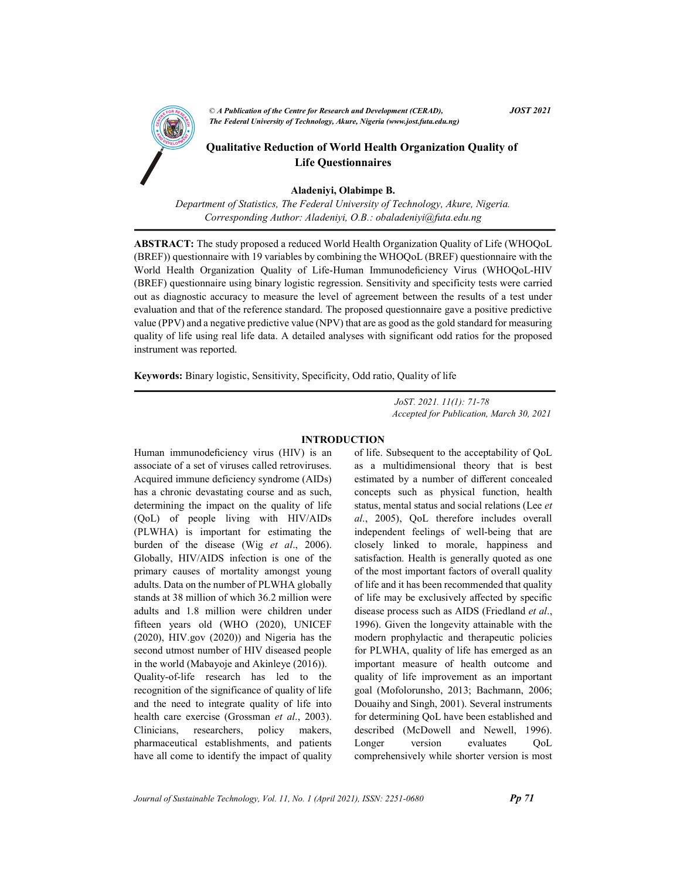

Aladeniyi, Olabimpe B.

Department of Statistics, The Federal University of Technology, Akure, Nigeria. Corresponding Author: Aladeniyi, O.B.: obaladeniyi@futa.edu.ng

ABSTRACT: The study proposed a reduced World Health Organization Quality of Life (WHOQoL (BREF)) questionnaire with 19 variables by combining the WHOQoL (BREF) questionnaire with the World Health Organization Quality of Life-Human Immunodeficiency Virus (WHOQoL-HIV (BREF) questionnaire using binary logistic regression. Sensitivity and specificity tests were carried out as diagnostic accuracy to measure the level of agreement between the results of a test under evaluation and that of the reference standard. The proposed questionnaire gave a positive predictive value (PPV) and a negative predictive value (NPV) that are as good as the gold standard for measuring quality of life using real life data. A detailed analyses with significant odd ratios for the proposed instrument was reported.

Keywords: Binary logistic, Sensitivity, Specificity, Odd ratio, Quality of life

 JoST. 2021. 11(1): 71-78 Accepted for Publication, March 30, 2021

### INTRODUCTION

Human immunodeficiency virus (HIV) is an associate of a set of viruses called retroviruses. Acquired immune deficiency syndrome (AIDs) has a chronic devastating course and as such, determining the impact on the quality of life (QoL) of people living with HIV/AIDs (PLWHA) is important for estimating the burden of the disease (Wig et al., 2006). Globally, HIV/AIDS infection is one of the primary causes of mortality amongst young adults. Data on the number of PLWHA globally stands at 38 million of which 36.2 million were adults and 1.8 million were children under fifteen years old (WHO (2020), UNICEF (2020), HIV.gov (2020)) and Nigeria has the second utmost number of HIV diseased people in the world (Mabayoje and Akinleye (2016)). Quality-of-life research has led to the recognition of the significance of quality of life and the need to integrate quality of life into health care exercise (Grossman et al., 2003). Clinicians, researchers, policy makers, pharmaceutical establishments, and patients have all come to identify the impact of quality of life. Subsequent to the acceptability of QoL as a multidimensional theory that is best estimated by a number of different concealed concepts such as physical function, health status, mental status and social relations (Lee et al., 2005), QoL therefore includes overall independent feelings of well-being that are closely linked to morale, happiness and satisfaction. Health is generally quoted as one of the most important factors of overall quality of life and it has been recommended that quality of life may be exclusively affected by specific disease process such as AIDS (Friedland et al., 1996). Given the longevity attainable with the modern prophylactic and therapeutic policies for PLWHA, quality of life has emerged as an important measure of health outcome and quality of life improvement as an important goal (Mofolorunsho, 2013; Bachmann, 2006; Douaihy and Singh, 2001). Several instruments for determining QoL have been established and described (McDowell and Newell, 1996). Longer version evaluates OoL comprehensively while shorter version is most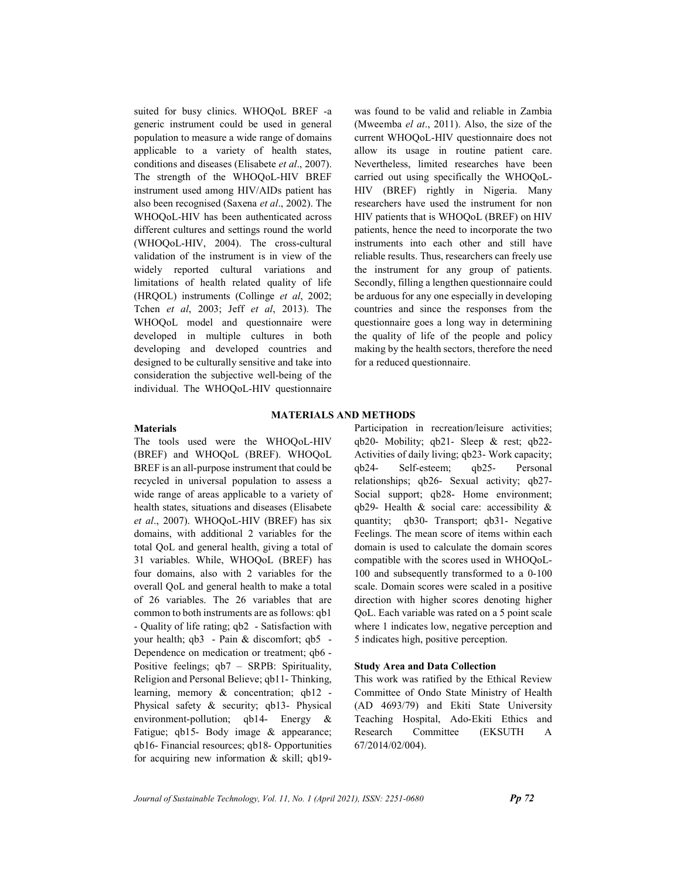suited for busy clinics. WHOQoL BREF -a generic instrument could be used in general population to measure a wide range of domains applicable to a variety of health states, conditions and diseases (Elisabete et al., 2007). The strength of the WHOQoL-HIV BREF instrument used among HIV/AIDs patient has also been recognised (Saxena et al., 2002). The WHOQoL-HIV has been authenticated across different cultures and settings round the world (WHOQoL-HIV, 2004). The cross-cultural validation of the instrument is in view of the widely reported cultural variations and limitations of health related quality of life (HRQOL) instruments (Collinge et al, 2002; Tchen et al, 2003; Jeff et al, 2013). The WHOQoL model and questionnaire were developed in multiple cultures in both developing and developed countries and designed to be culturally sensitive and take into consideration the subjective well-being of the individual. The WHOQoL-HIV questionnaire was found to be valid and reliable in Zambia (Mweemba el at., 2011). Also, the size of the current WHOQoL-HIV questionnaire does not allow its usage in routine patient care. Nevertheless, limited researches have been carried out using specifically the WHOQoL-HIV (BREF) rightly in Nigeria. Many researchers have used the instrument for non HIV patients that is WHOQoL (BREF) on HIV patients, hence the need to incorporate the two instruments into each other and still have reliable results. Thus, researchers can freely use the instrument for any group of patients. Secondly, filling a lengthen questionnaire could be arduous for any one especially in developing countries and since the responses from the questionnaire goes a long way in determining the quality of life of the people and policy making by the health sectors, therefore the need for a reduced questionnaire.

## Materials

# MATERIALS AND METHODS

The tools used were the WHOQoL-HIV (BREF) and WHOQoL (BREF). WHOQoL BREF is an all-purpose instrument that could be recycled in universal population to assess a wide range of areas applicable to a variety of health states, situations and diseases (Elisabete et al., 2007). WHOQoL-HIV (BREF) has six domains, with additional 2 variables for the total QoL and general health, giving a total of 31 variables. While, WHOQoL (BREF) has four domains, also with 2 variables for the overall QoL and general health to make a total of 26 variables. The 26 variables that are common to both instruments are as follows: qb1 - Quality of life rating; qb2 - Satisfaction with your health; qb3 - Pain & discomfort; qb5 - Dependence on medication or treatment; qb6 - Positive feelings; qb7 – SRPB: Spirituality, Religion and Personal Believe; qb11- Thinking, learning, memory & concentration; qb12 - Physical safety & security; qb13- Physical environment-pollution; qb14- Energy & Fatigue; qb15- Body image & appearance; qb16- Financial resources; qb18- Opportunities for acquiring new information & skill; qb19Participation in recreation/leisure activities; qb20- Mobility; qb21- Sleep & rest; qb22- Activities of daily living; qb23- Work capacity; qb24- Self-esteem; qb25- Personal relationships; qb26- Sexual activity; qb27- Social support; qb28- Home environment; qb29- Health & social care: accessibility & quantity; qb30- Transport; qb31- Negative Feelings. The mean score of items within each domain is used to calculate the domain scores compatible with the scores used in WHOQoL-100 and subsequently transformed to a 0-100 scale. Domain scores were scaled in a positive direction with higher scores denoting higher QoL. Each variable was rated on a 5 point scale where 1 indicates low, negative perception and 5 indicates high, positive perception.

## Study Area and Data Collection

This work was ratified by the Ethical Review Committee of Ondo State Ministry of Health (AD 4693/79) and Ekiti State University Teaching Hospital, Ado-Ekiti Ethics and Research Committee (EKSUTH A 67/2014/02/004).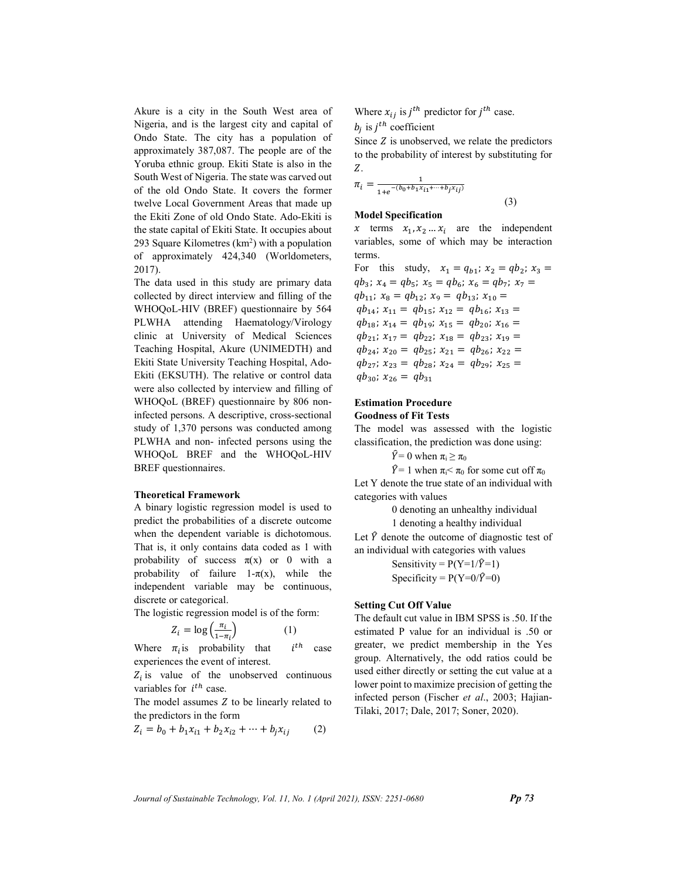Akure is a city in the South West area of Nigeria, and is the largest city and capital of Ondo State. The city has a population of approximately 387,087. The people are of the Yoruba ethnic group. Ekiti State is also in the South West of Nigeria. The state was carved out of the old Ondo State. It covers the former twelve Local Government Areas that made up the Ekiti Zone of old Ondo State. Ado-Ekiti is the state capital of Ekiti State. It occupies about 293 Square Kilometres  $(km^2)$  with a population of approximately 424,340 (Worldometers, 2017).

The data used in this study are primary data collected by direct interview and filling of the WHOQoL-HIV (BREF) questionnaire by 564 PLWHA attending Haematology/Virology clinic at University of Medical Sciences Teaching Hospital, Akure (UNIMEDTH) and Ekiti State University Teaching Hospital, Ado-Ekiti (EKSUTH). The relative or control data were also collected by interview and filling of WHOQoL (BREF) questionnaire by 806 noninfected persons. A descriptive, cross-sectional study of 1,370 persons was conducted among PLWHA and non- infected persons using the WHOQoL BREF and the WHOQoL-HIV BREF questionnaires.

## Theoretical Framework

A binary logistic regression model is used to predict the probabilities of a discrete outcome when the dependent variable is dichotomous. That is, it only contains data coded as 1 with probability of success  $\pi(x)$  or 0 with a probability of failure  $1-\pi(x)$ , while the independent variable may be continuous, discrete or categorical.

The logistic regression model is of the form:

$$
Z_i = \log\left(\frac{\pi_i}{1 - \pi_i}\right) \tag{1}
$$

Where  $\pi_i$  is probability that *i*  $i^{th}$  case experiences the event of interest.

 $Z_i$  is value of the unobserved continuous variables for  $i^{th}$  case.

The model assumes  $Z$  to be linearly related to the predictors in the form

$$
Z_i = b_0 + b_1 x_{i1} + b_2 x_{i2} + \dots + b_j x_{ij}
$$
 (2)

Where  $x_{ij}$  is  $j^{th}$  predictor for  $j^{th}$  case.

 $b_j$  is  $j^{th}$  coefficient

Since  $Z$  is unobserved, we relate the predictors to the probability of interest by substituting for Z.

$$
\pi_i = \frac{1}{1 + e^{-(b_0 + b_1 x_{i1} + \dots + b_j x_{ij})}}
$$
\n(3)

#### Model Specification

x terms  $x_1, x_2, \ldots, x_i$  are the independent variables, some of which may be interaction terms.

For this study,  $x_1 = q_{b1}$ ;  $x_2 = qb_2$ ;  $x_3 =$  $qb_3$ ;  $x_4 = qb_5$ ;  $x_5 = qb_6$ ;  $x_6 = qb_7$ ;  $x_7 =$  $q_{b_{11}}$ ;  $x_8 = q_{b_{12}}$ ;  $x_9 = q_{b_{13}}$ ;  $x_{10} =$  $q_{b_{14}}$ ;  $x_{11} = q_{b_{15}}$ ;  $x_{12} = q_{b_{16}}$ ;  $x_{13} =$  $q b_{18}$ ;  $x_{14} = q b_{19}$ ;  $x_{15} = q b_{20}$ ;  $x_{16} =$  $qb_{21}$ ;  $x_{17} = qb_{22}$ ;  $x_{18} = qb_{23}$ ;  $x_{19} =$  $qb_{24}$ ;  $x_{20} = qb_{25}$ ;  $x_{21} = qb_{26}$ ;  $x_{22} =$  $qb_{27}$ ;  $x_{23} = qb_{28}$ ;  $x_{24} = qb_{29}$ ;  $x_{25} =$  $q_{30}$ ;  $x_{26} = q_{31}$ 

# Estimation Procedure Goodness of Fit Tests

The model was assessed with the logistic classification, the prediction was done using:

 $\hat{Y} = 0$  when  $\pi_i \geq \pi_0$ 

 $\hat{Y}$ = 1 when  $\pi_i$ <  $\pi_0$  for some cut off  $\pi_0$ Let Y denote the true state of an individual with categories with values

0 denoting an unhealthy individual

1 denoting a healthy individual

Let  $\hat{Y}$  denote the outcome of diagnostic test of an individual with categories with values

> Sensitivity =  $P(Y=1/\hat{Y}=1)$ Specificity =  $P(Y=0/\hat{Y}=0)$

#### Setting Cut Off Value

The default cut value in IBM SPSS is .50. If the estimated P value for an individual is .50 or greater, we predict membership in the Yes group. Alternatively, the odd ratios could be used either directly or setting the cut value at a lower point to maximize precision of getting the infected person (Fischer et al., 2003; Hajian-Tilaki, 2017; Dale, 2017; Soner, 2020).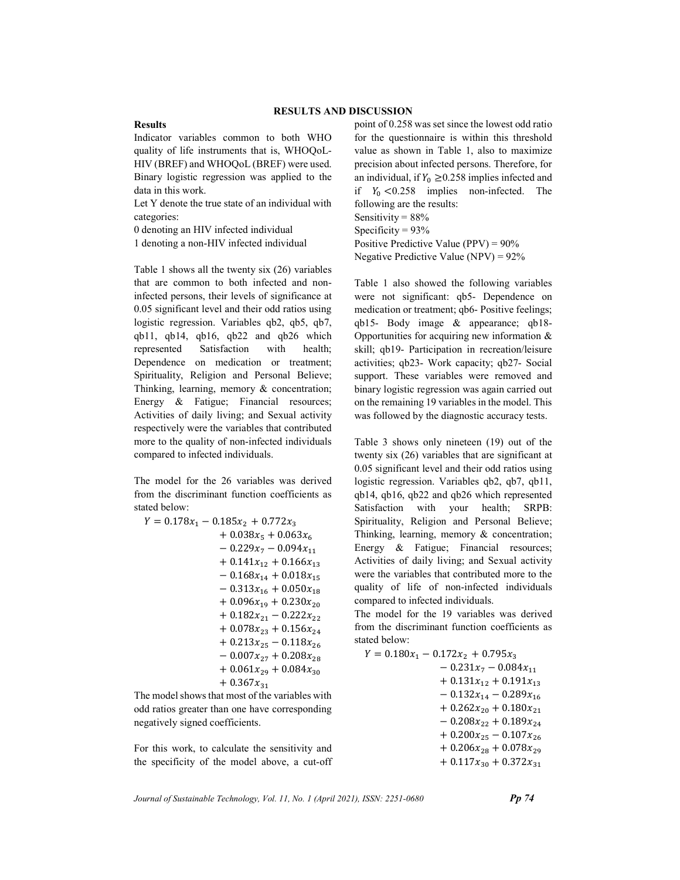## Results

Indicator variables common to both WHO quality of life instruments that is, WHOQoL-HIV (BREF) and WHOQoL (BREF) were used. Binary logistic regression was applied to the data in this work.

Let Y denote the true state of an individual with categories:

0 denoting an HIV infected individual

1 denoting a non-HIV infected individual

Table 1 shows all the twenty six (26) variables that are common to both infected and noninfected persons, their levels of significance at 0.05 significant level and their odd ratios using logistic regression. Variables qb2, qb5, qb7, qb11, qb14, qb16, qb22 and qb26 which represented Satisfaction with health; Dependence on medication or treatment; Spirituality, Religion and Personal Believe; Thinking, learning, memory & concentration; Energy & Fatigue; Financial resources; Activities of daily living; and Sexual activity respectively were the variables that contributed more to the quality of non-infected individuals compared to infected individuals.

The model for the 26 variables was derived from the discriminant function coefficients as stated below:

$$
Y = 0.178x_1 - 0.185x_2 + 0.772x_3
$$
  
+ 0.038x<sub>5</sub> + 0.063x<sub>6</sub>  
- 0.229x<sub>7</sub> - 0.094x<sub>11</sub>  
+ 0.141x<sub>12</sub> + 0.166x<sub>13</sub>  
- 0.168x<sub>14</sub> + 0.018x<sub>15</sub>  
- 0.313x<sub>16</sub> + 0.050x<sub>18</sub>  
+ 0.096x<sub>19</sub> + 0.230x<sub>20</sub>  
+ 0.182x<sub>21</sub> - 0.222x<sub>22</sub>  
+ 0.078x<sub>23</sub> + 0.156x<sub>24</sub>  
+ 0.213x<sub>25</sub> - 0.118x<sub>26</sub>  
- 0.007x<sub>27</sub> + 0.208x<sub>28</sub>  
+ 0.061x<sub>29</sub> + 0.084x<sub>30</sub>  
+ 0.367x<sub>31</sub>

The model shows that most of the variables with odd ratios greater than one have corresponding negatively signed coefficients.

For this work, to calculate the sensitivity and the specificity of the model above, a cut-off point of 0.258 was set since the lowest odd ratio for the questionnaire is within this threshold value as shown in Table 1, also to maximize precision about infected persons. Therefore, for an individual, if  $Y_0 \ge 0.258$  implies infected and if  $Y_0 < 0.258$  implies non-infected. The following are the results: Sensitivity = 88% Specificity =  $93%$ Positive Predictive Value (PPV) = 90% Negative Predictive Value (NPV) = 92%

Table 1 also showed the following variables were not significant: qb5- Dependence on medication or treatment; qb6- Positive feelings; qb15- Body image & appearance; qb18- Opportunities for acquiring new information & skill; qb19- Participation in recreation/leisure activities; qb23- Work capacity; qb27- Social support. These variables were removed and binary logistic regression was again carried out on the remaining 19 variables in the model. This was followed by the diagnostic accuracy tests.

Table 3 shows only nineteen (19) out of the twenty six (26) variables that are significant at 0.05 significant level and their odd ratios using logistic regression. Variables qb2, qb7, qb11, qb14, qb16, qb22 and qb26 which represented Satisfaction with your health; SRPB: Spirituality, Religion and Personal Believe; Thinking, learning, memory & concentration; Energy & Fatigue; Financial resources; Activities of daily living; and Sexual activity were the variables that contributed more to the quality of life of non-infected individuals compared to infected individuals.

The model for the 19 variables was derived from the discriminant function coefficients as stated below:

| $Y = 0.180x_1 - 0.172x_2 + 0.795x_3$ |
|--------------------------------------|
| $-0.231x_7 - 0.084x_{11}$            |
| $+$ 0.131 $x_{12}$ + 0.191 $x_{13}$  |
| $-0.132x_{14} - 0.289x_{16}$         |
| $+ 0.262 x_{20} + 0.180 x_{21}$      |
| $-0.208x_{22} + 0.189x_{24}$         |
| $+ 0.200x_{25} - 0.107x_{26}$        |
| $+0.206x_{28} + 0.078x_{29}$         |
| $+ 0.117x_{30} + 0.372x_{31}$        |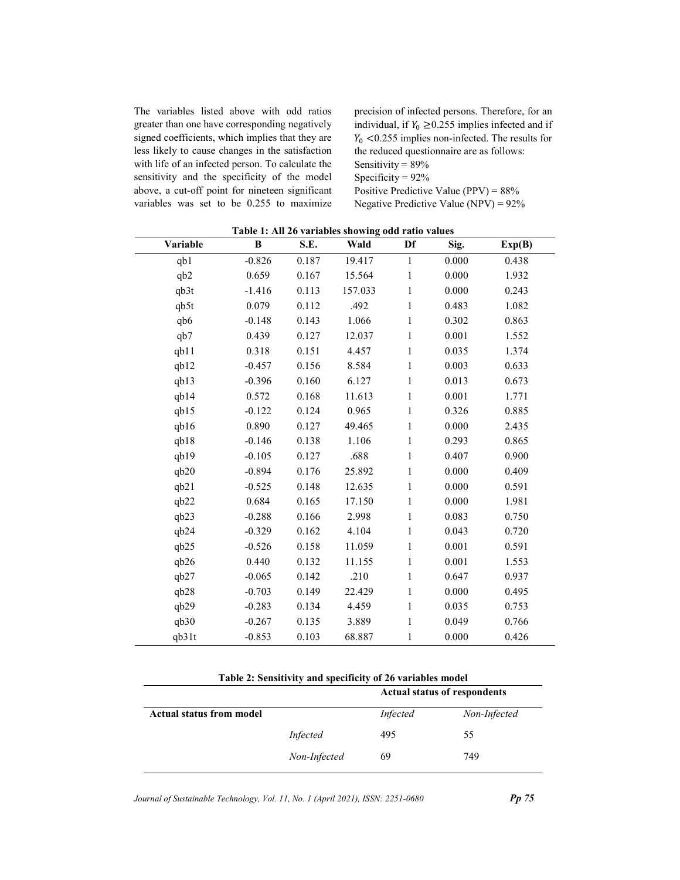The variables listed above with odd ratios greater than one have corresponding negatively signed coefficients, which implies that they are less likely to cause changes in the satisfaction with life of an infected person. To calculate the sensitivity and the specificity of the model above, a cut-off point for nineteen significant variables was set to be 0.255 to maximize

precision of infected persons. Therefore, for an individual, if  $Y_0 \ge 0.255$  implies infected and if  $Y_0$  <0.255 implies non-infected. The results for the reduced questionnaire are as follows: Sensitivity = 89% Specificity = 92% Positive Predictive Value (PPV) = 88% Negative Predictive Value (NPV) = 92%

J.

| Variable          | B        | S.E.  | Table 1: All 20 variables showing oud ratio values<br>Wald | Df           | Sig.  | Exp(B) |
|-------------------|----------|-------|------------------------------------------------------------|--------------|-------|--------|
| qb1               | $-0.826$ | 0.187 | 19.417                                                     | $\mathbf{1}$ | 0.000 | 0.438  |
| qb2               | 0.659    | 0.167 | 15.564                                                     | $\mathbf{1}$ | 0.000 | 1.932  |
| qb3t              | $-1.416$ | 0.113 | 157.033                                                    | $\mathbf{1}$ | 0.000 | 0.243  |
| qb5t              | 0.079    | 0.112 | .492                                                       | $\mathbf{1}$ | 0.483 | 1.082  |
| qb6               | $-0.148$ | 0.143 | 1.066                                                      | $\mathbf{1}$ | 0.302 | 0.863  |
| qb7               | 0.439    | 0.127 | 12.037                                                     | $\mathbf{1}$ | 0.001 | 1.552  |
| qb11              | 0.318    | 0.151 | 4.457                                                      | $\mathbf{1}$ | 0.035 | 1.374  |
| qb12              | $-0.457$ | 0.156 | 8.584                                                      | $\mathbf{1}$ | 0.003 | 0.633  |
| q <sub>b13</sub>  | $-0.396$ | 0.160 | 6.127                                                      | $\mathbf{1}$ | 0.013 | 0.673  |
| q <sub>b14</sub>  | 0.572    | 0.168 | 11.613                                                     | $\mathbf{1}$ | 0.001 | 1.771  |
| qb15              | $-0.122$ | 0.124 | 0.965                                                      | $\mathbf{1}$ | 0.326 | 0.885  |
| qb16              | 0.890    | 0.127 | 49.465                                                     | $\mathbf{1}$ | 0.000 | 2.435  |
| qb18              | $-0.146$ | 0.138 | 1.106                                                      | $\mathbf{1}$ | 0.293 | 0.865  |
| qb19              | $-0.105$ | 0.127 | .688                                                       | $\mathbf{1}$ | 0.407 | 0.900  |
| q <sub>b20</sub>  | $-0.894$ | 0.176 | 25.892                                                     | $\mathbf{1}$ | 0.000 | 0.409  |
| q <sub>b21</sub>  | $-0.525$ | 0.148 | 12.635                                                     | $\mathbf{1}$ | 0.000 | 0.591  |
| qb22              | 0.684    | 0.165 | 17.150                                                     | $\mathbf{1}$ | 0.000 | 1.981  |
| qb23              | $-0.288$ | 0.166 | 2.998                                                      | $\mathbf{1}$ | 0.083 | 0.750  |
| q <sub>b24</sub>  | $-0.329$ | 0.162 | 4.104                                                      | $\mathbf{1}$ | 0.043 | 0.720  |
| qb25              | $-0.526$ | 0.158 | 11.059                                                     | $\mathbf{1}$ | 0.001 | 0.591  |
| qb26              | 0.440    | 0.132 | 11.155                                                     | $\mathbf{1}$ | 0.001 | 1.553  |
| q <sub>b27</sub>  | $-0.065$ | 0.142 | .210                                                       | $\mathbf{1}$ | 0.647 | 0.937  |
| q <sub>b28</sub>  | $-0.703$ | 0.149 | 22.429                                                     | $\mathbf{1}$ | 0.000 | 0.495  |
| qb29              | $-0.283$ | 0.134 | 4.459                                                      | $\mathbf{1}$ | 0.035 | 0.753  |
| qb30              | $-0.267$ | 0.135 | 3.889                                                      | $\mathbf{1}$ | 0.049 | 0.766  |
| q <sub>b31t</sub> | $-0.853$ | 0.103 | 68.887                                                     | $\mathbf{1}$ | 0.000 | 0.426  |

| Table 1: All 26 variables showing odd ratio values |  |  |  |
|----------------------------------------------------|--|--|--|
|                                                    |  |  |  |

Table 2: Sensitivity and specificity of 26 variables model

|                                 |              | <b>Actual status of respondents</b> |              |  |
|---------------------------------|--------------|-------------------------------------|--------------|--|
| <b>Actual status from model</b> |              | Infected                            | Non-Infected |  |
|                                 | Infected     | 495                                 | 55           |  |
|                                 | Non-Infected | 69                                  | 749          |  |

Journal of Sustainable Technology, Vol. 11, No. 1 (April 2021), ISSN: 2251-0680 Pp 75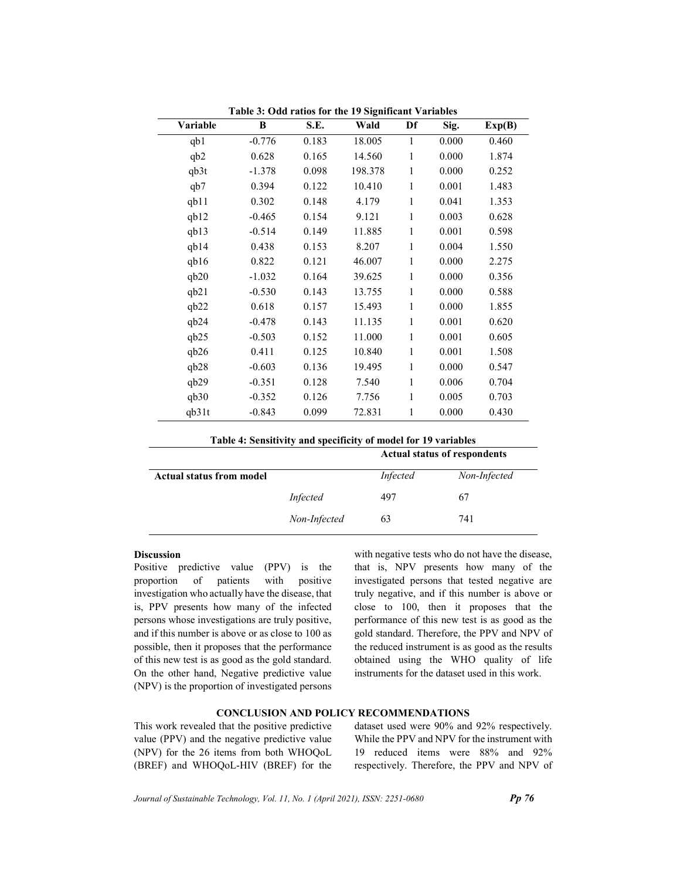| Variable         | B        | S.E.  | Wald    | Df           | Sig.  | Exp(B) |
|------------------|----------|-------|---------|--------------|-------|--------|
| qb1              | $-0.776$ | 0.183 | 18.005  | 1            | 0.000 | 0.460  |
| qb2              | 0.628    | 0.165 | 14.560  | $\mathbf{1}$ | 0.000 | 1.874  |
| qb3t             | $-1.378$ | 0.098 | 198.378 | $\mathbf{1}$ | 0.000 | 0.252  |
| q <sub>b</sub> 7 | 0.394    | 0.122 | 10.410  | 1            | 0.001 | 1.483  |
| q <sub>b11</sub> | 0.302    | 0.148 | 4.179   | 1            | 0.041 | 1.353  |
| qb12             | $-0.465$ | 0.154 | 9.121   | 1            | 0.003 | 0.628  |
| q <sub>b13</sub> | $-0.514$ | 0.149 | 11.885  | $\mathbf{1}$ | 0.001 | 0.598  |
| q <sub>b14</sub> | 0.438    | 0.153 | 8.207   | 1            | 0.004 | 1.550  |
| q <sub>b16</sub> | 0.822    | 0.121 | 46.007  | 1            | 0.000 | 2.275  |
| q <sub>b20</sub> | $-1.032$ | 0.164 | 39.625  | 1            | 0.000 | 0.356  |
| q <sub>b21</sub> | $-0.530$ | 0.143 | 13.755  | $\mathbf{1}$ | 0.000 | 0.588  |
| q <sub>b22</sub> | 0.618    | 0.157 | 15.493  | 1            | 0.000 | 1.855  |
| q <sub>b24</sub> | $-0.478$ | 0.143 | 11.135  | $\mathbf{1}$ | 0.001 | 0.620  |
| qb25             | $-0.503$ | 0.152 | 11.000  | 1            | 0.001 | 0.605  |
| q <sub>b26</sub> | 0.411    | 0.125 | 10.840  | $\mathbf{1}$ | 0.001 | 1.508  |
| q <sub>b28</sub> | $-0.603$ | 0.136 | 19.495  | 1            | 0.000 | 0.547  |
| q <sub>b29</sub> | $-0.351$ | 0.128 | 7.540   | 1            | 0.006 | 0.704  |
| q <sub>b30</sub> | $-0.352$ | 0.126 | 7.756   | 1            | 0.005 | 0.703  |
| qb31t            | $-0.843$ | 0.099 | 72.831  | 1            | 0.000 | 0.430  |

Table 3: Odd ratios for the 19 Significant Variables

| Table 4: Sensitivity and specificity of model for 19 variables |  |  |  |
|----------------------------------------------------------------|--|--|--|
|----------------------------------------------------------------|--|--|--|

|                                 |                 | <b>Actual status of respondents</b> |              |  |
|---------------------------------|-----------------|-------------------------------------|--------------|--|
| <b>Actual status from model</b> |                 | Infected                            | Non-Infected |  |
|                                 | <i>Infected</i> | 497                                 | 67           |  |
|                                 | Non-Infected    | 63                                  | 741          |  |

# Discussion

Positive predictive value (PPV) is the proportion of patients with positive investigation who actually have the disease, that is, PPV presents how many of the infected persons whose investigations are truly positive, and if this number is above or as close to 100 as possible, then it proposes that the performance of this new test is as good as the gold standard. On the other hand, Negative predictive value (NPV) is the proportion of investigated persons with negative tests who do not have the disease, that is, NPV presents how many of the investigated persons that tested negative are truly negative, and if this number is above or close to 100, then it proposes that the performance of this new test is as good as the gold standard. Therefore, the PPV and NPV of the reduced instrument is as good as the results obtained using the WHO quality of life instruments for the dataset used in this work.

### CONCLUSION AND POLICY RECOMMENDATIONS

This work revealed that the positive predictive value (PPV) and the negative predictive value (NPV) for the 26 items from both WHOQoL (BREF) and WHOQoL-HIV (BREF) for the dataset used were 90% and 92% respectively. While the PPV and NPV for the instrument with 19 reduced items were 88% and 92% respectively. Therefore, the PPV and NPV of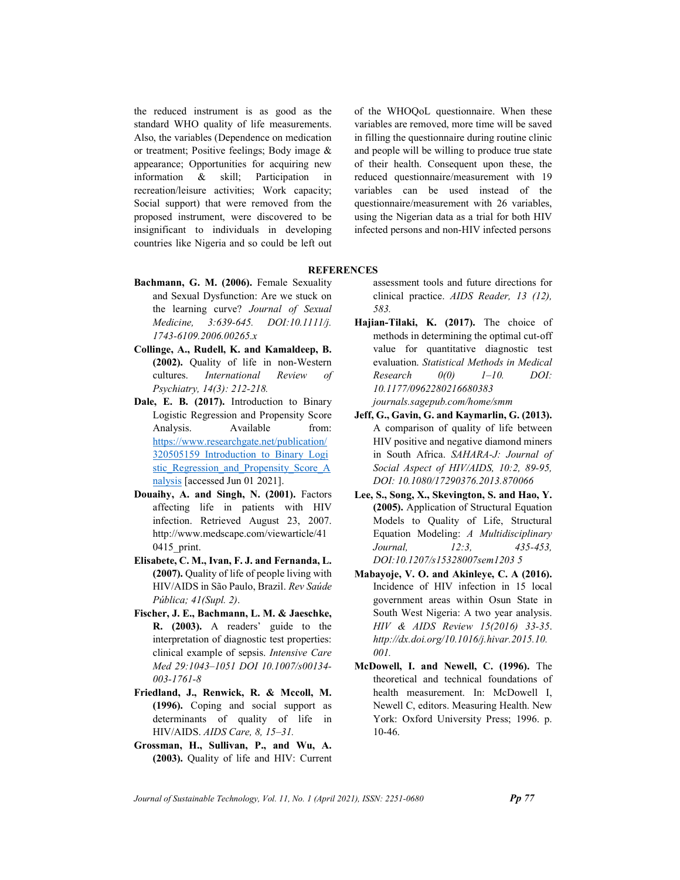the reduced instrument is as good as the standard WHO quality of life measurements. Also, the variables (Dependence on medication or treatment; Positive feelings; Body image & appearance; Opportunities for acquiring new information & skill; Participation in recreation/leisure activities; Work capacity; Social support) that were removed from the proposed instrument, were discovered to be insignificant to individuals in developing countries like Nigeria and so could be left out of the WHOQoL questionnaire. When these variables are removed, more time will be saved in filling the questionnaire during routine clinic and people will be willing to produce true state of their health. Consequent upon these, the reduced questionnaire/measurement with 19 variables can be used instead of the questionnaire/measurement with 26 variables, using the Nigerian data as a trial for both HIV infected persons and non-HIV infected persons

## **REFERENCES**

- Bachmann, G. M. (2006). Female Sexuality and Sexual Dysfunction: Are we stuck on the learning curve? Journal of Sexual Medicine, 3:639-645. DOI:10.1111/j. 1743-6109.2006.00265.x
- Collinge, A., Rudell, K. and Kamaldeep, B. (2002). Quality of life in non-Western cultures. International Review of Psychiatry, 14(3): 212-218.
- Dale, E. B. (2017). Introduction to Binary Logistic Regression and Propensity Score Analysis. Available from: https://www.researchgate.net/publication/ 320505159 Introduction to Binary Logi stic\_Regression\_and\_Propensity\_Score\_A nalysis [accessed Jun 01 2021].
- Douaihy, A. and Singh, N. (2001). Factors affecting life in patients with HIV infection. Retrieved August 23, 2007. http://www.medscape.com/viewarticle/41 0415\_print.
- Elisabete, C. M., Ivan, F. J. and Fernanda, L. (2007). Quality of life of people living with HIV/AIDS in São Paulo, Brazil. Rev Saúde Pública; 41(Supl. 2).
- Fischer, J. E., Bachmann, L. M. & Jaeschke, R. (2003). A readers' guide to the interpretation of diagnostic test properties: clinical example of sepsis. Intensive Care Med 29:1043–1051 DOI 10.1007/s00134- 003-1761-8
- Friedland, J., Renwick, R. & Mccoll, M. (1996). Coping and social support as determinants of quality of life in HIV/AIDS. AIDS Care, 8, 15–31.
- Grossman, H., Sullivan, P., and Wu, A. (2003). Quality of life and HIV: Current

assessment tools and future directions for clinical practice. AIDS Reader, 13 (12), 583.

- Hajian-Tilaki, K. (2017). The choice of methods in determining the optimal cut-off value for quantitative diagnostic test evaluation. Statistical Methods in Medical  $Research \qquad 0(0) \qquad 1-10. \qquad DOI:$ 10.1177/0962280216680383 journals.sagepub.com/home/smm
- Jeff, G., Gavin, G. and Kaymarlin, G. (2013). A comparison of quality of life between HIV positive and negative diamond miners in South Africa. SAHARA-J: Journal of Social Aspect of HIV/AIDS, 10:2, 89-95, DOI: 10.1080/17290376.2013.870066
- Lee, S., Song, X., Skevington, S. and Hao, Y. (2005). Application of Structural Equation Models to Quality of Life, Structural Equation Modeling: A Multidisciplinary Journal, 12:3, 435-453, DOI:10.1207/s15328007sem1203 5
- Mabayoje, V. O. and Akinleye, C. A (2016). Incidence of HIV infection in 15 local government areas within Osun State in South West Nigeria: A two year analysis. HIV & AIDS Review 15(2016) 33-35. http://dx.doi.org/10.1016/j.hivar.2015.10. 001.
- McDowell, I. and Newell, C. (1996). The theoretical and technical foundations of health measurement. In: McDowell I, Newell C, editors. Measuring Health. New York: Oxford University Press; 1996. p. 10-46.

Journal of Sustainable Technology, Vol. 11, No. 1 (April 2021), ISSN:  $2251-0680$  Pp 77